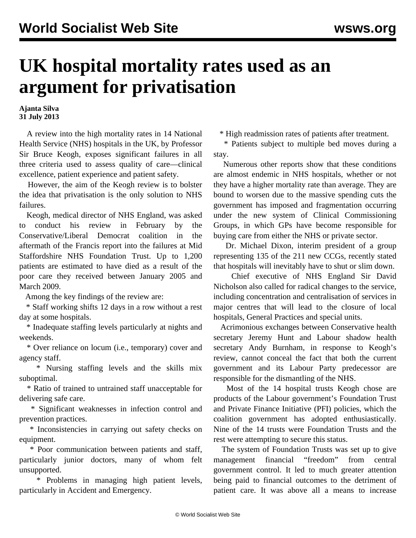## **UK hospital mortality rates used as an argument for privatisation**

**Ajanta Silva 31 July 2013**

 A review into the high mortality rates in 14 National Health Service (NHS) hospitals in the UK, by Professor Sir Bruce Keogh, exposes significant failures in all three criteria used to assess quality of care—clinical excellence, patient experience and patient safety.

 However, the aim of the Keogh review is to bolster the idea that privatisation is the only solution to NHS failures.

 Keogh, medical director of NHS England, was asked to conduct his review in February by the Conservative/Liberal Democrat coalition in the aftermath of the Francis [report](/en/articles/2013/02/13/staf-f13.html) into the failures at Mid Staffordshire NHS Foundation Trust. Up to 1,200 patients are estimated to have died as a result of the poor care they received between January 2005 and March 2009.

Among the key findings of the review are:

 \* Staff working shifts 12 days in a row without a rest day at some hospitals.

 \* Inadequate staffing levels particularly at nights and weekends.

 \* Over reliance on locum (i.e., temporary) cover and agency staff.

 \* Nursing staffing levels and the skills mix suboptimal.

 \* Ratio of trained to untrained staff unacceptable for delivering safe care.

 \* Significant weaknesses in infection control and prevention practices.

 \* Inconsistencies in carrying out safety checks on equipment.

 \* Poor communication between patients and staff, particularly junior doctors, many of whom felt unsupported.

 \* Problems in managing high patient levels, particularly in Accident and Emergency.

\* High readmission rates of patients after treatment.

 \* Patients subject to multiple bed moves during a stay.

 Numerous other reports show that these conditions are almost endemic in NHS hospitals, whether or not they have a higher mortality rate than average. They are bound to worsen due to the massive spending cuts the government has imposed and fragmentation occurring under the new system of Clinical Commissioning Groups, in which GPs have become responsible for buying care from either the NHS or private sector.

 Dr. Michael Dixon, interim president of a group representing 135 of the 211 new CCGs, recently stated that hospitals will inevitably have to shut or slim down.

 Chief executive of NHS England Sir David Nicholson also called for radical changes to the service, including concentration and centralisation of services in major centres that will lead to the closure of local hospitals, General Practices and special units.

 Acrimonious exchanges between Conservative health secretary Jeremy Hunt and Labour shadow health secretary Andy Burnham, in response to Keogh's review, cannot conceal the fact that both the current government and its Labour Party predecessor are responsible for the dismantling of the NHS.

 Most of the 14 hospital trusts Keogh chose are products of the Labour government's Foundation Trust and Private Finance Initiative (PFI) policies, which the coalition government has adopted enthusiastically. Nine of the 14 trusts were Foundation Trusts and the rest were attempting to secure this status.

 The system of Foundation Trusts was set up to give management financial "freedom" from central government control. It led to much greater attention being paid to financial outcomes to the detriment of patient care. It was above all a means to increase